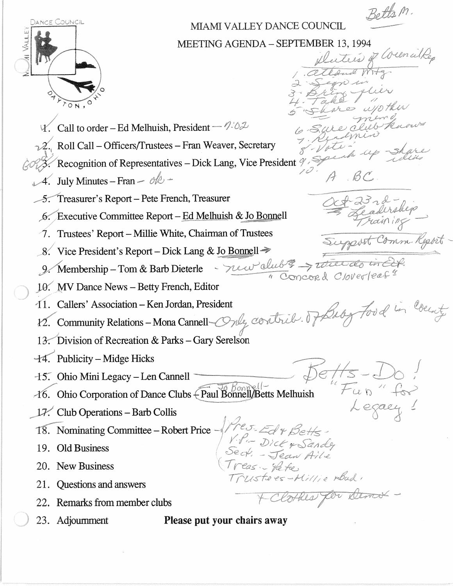Betts m

up share

3 r 2 -<br>Paderskep

Support Comm. Report

 $B<sup>c</sup>$ 

Duters

I

Legaci

tees-Millie road,

Cothes for Dema -



## MIAMI V ALLEY DANCE COUNCIL

MEETING AGENDA - SEPTEMBER 13, 1994<br> *Luttis of Welmulke* 

- $V.$  Call to order Ed Melhuish, President  $\sqrt{2\pi}$
- $\sqrt{2}$ . Roll Call Officers/Trustees Fran Weaver, Secretary
- 2. Recognition of Representatives Dick Lang, Vice President
- $t$ . July Minutes Fran ole -
	- 5. Treasurer's Report Pete French, Treasurer
	- 6. Executive Committee Report Ed Melhuish & Jo Bonnell
	- $\dot{\mathcal{A}}$ . Trustees' Report Millie White, Chairman of Trustees
	- 8. Vice President's Report Dick Lang & Jo Bonnell  $\Rightarrow$ \_\_\_ 0,,","'''''
	- 9. Membership Tom & Barb Dieterle
	- 10. MV Dance News Betty French, Editor
	- ,11. Callers' Association Ken Jordan, President
	- $12.$  Community Relations Mona
	- ! *,d*  13. Division of Recreation & Parks - Gary Serelson
- $-14$ . Publicity Midge Hicks
- $-15$ . Ohio Mini Legacy Len Cannell
- 15. Ohio Mini Legacy Len Cannell<br>16. Ohio Corporation of Dance Clubs Paul Bonnell/Betts Melhuish
- $\Box$ 7. Club Operations Barb Collis
- l'S: Nominating Committee Robert Price
- 19. Old Business
- 20. New Business
- 21. Questions and answers
- 22. Remarks from member clubs
- 
- 23. Adjournment Please put your chairs away

.. <sup>&</sup>lt;" --,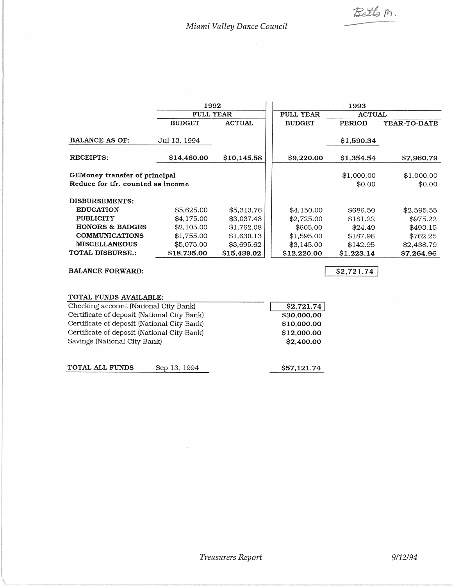Betts m.

-

 $\bar{\beta}$ 

|                                                                    | 1992             |               | 1993             |                      |                      |
|--------------------------------------------------------------------|------------------|---------------|------------------|----------------------|----------------------|
|                                                                    | <b>FULL YEAR</b> |               | <b>FULL YEAR</b> | <b>ACTUAL</b>        |                      |
|                                                                    | <b>BUDGET</b>    | <b>ACTUAL</b> | <b>BUDGET</b>    | <b>PERIOD</b>        | <b>YEAR-TO-DATE</b>  |
| <b>BALANCE AS OF:</b>                                              | Jul 13, 1994     |               |                  | \$1,590.34           |                      |
| <b>RECEIPTS:</b>                                                   | \$14,460.00      | \$10,145.58   | \$9,220.00       | \$1,354.54           | \$7,960.79           |
| GEMoney transfer of principal<br>Reduce for tfr. counted as income |                  |               |                  | \$1,000.00<br>\$0.00 | \$1,000.00<br>\$0.00 |
| DISBURSEMENTS:                                                     |                  |               |                  |                      |                      |
| <b>EDUCATION</b>                                                   | \$5,625.00       | \$5,313.76    | \$4,150.00       | \$686.50             | \$2,595.55           |
| <b>PUBLICITY</b>                                                   | \$4,175.00       | \$3,037.43    | \$2,725.00       | \$181.22             | \$975.22             |
| <b>HONORS &amp; BADGES</b>                                         | \$2,105.00       | \$1,762.08    | \$605.00         | \$24.49              | \$493.15             |
| <b>COMMUNICATIONS</b>                                              | \$1,755.00       | \$1,630.13    | \$1,595.00       | \$187.98             | \$762.25             |
| <b>MISCELLANEOUS</b>                                               | \$5,075.00       | \$3,695.62    | \$3,145.00       | \$142.95             | \$2,438.79           |
| <b>TOTAL DISBURSE.:</b>                                            | \$18,735.00      | \$15,439.02   | \$12,220.00      | \$1,223.14           | \$7,264.96           |
| <b>BALANCE FORWARD:</b>                                            |                  |               |                  | \$2,721.74           |                      |

| TOTAL FUNDS AVAILABLE:                      |             |
|---------------------------------------------|-------------|
| Checking account (National City Bank)       | \$2,721.74  |
| Certificate of deposit (National City Bank) | \$30,000.00 |
| Certificate of deposit (National City Bank) | \$10,000.00 |
| Certificate of deposit (National City Bank) | \$12,000.00 |
| Savings (National City Bank)                | \$2,400.00  |
| TOTAL ALL FUNDS<br>Sep 13, 1994             | \$57,121.74 |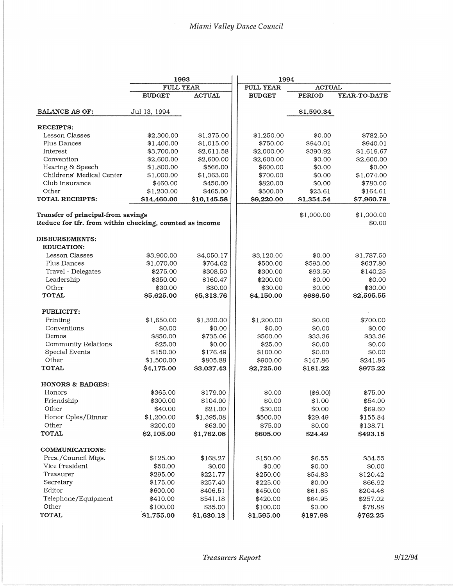|                                                         | 1993          |               | 1994          |               |              |
|---------------------------------------------------------|---------------|---------------|---------------|---------------|--------------|
|                                                         | FULL YEAR     |               | FULL YEAR     | <b>ACTUAL</b> |              |
|                                                         | <b>BUDGET</b> | <b>ACTUAL</b> | <b>BUDGET</b> | <b>PERIOD</b> | YEAR-TO-DATE |
| <b>BALANCE AS OF:</b>                                   | Jul 13, 1994  |               |               | \$1,590.34    |              |
| <b>RECEIPTS:</b>                                        |               |               |               |               |              |
| Lesson Classes                                          | \$2,300.00    | \$1,375.00    | \$1,250.00    | \$0.00        | \$782.50     |
| Plus Dances                                             | \$1,400.00    | \$1,015.00    | \$750.00      | \$940.01      | \$940.01     |
| Interest                                                | \$3,700.00    | \$2,611.58    | \$2,000.00    | \$390.92      | \$1,619.67   |
| Convention                                              | \$2,600.00    | \$2,600.00    | \$2,600.00    | \$0.00        | \$2,600.00   |
| Hearing & Speech                                        | \$1,800.00    | \$566.00      | \$600.00      | \$0.00        | \$0.00       |
| Childrens' Medical Center                               | \$1,000.00    | \$1,063.00    | \$700.00      | \$0.00        | \$1,074.00   |
| Club Insurance                                          | \$460.00      | \$450.00      | \$820.00      | \$0.00        | \$780.00     |
| Other                                                   | \$1,200.00    | \$465.00      | \$500.00      | \$23.61       | \$164.61     |
| <b>TOTAL RECEIPTS:</b>                                  | \$14,460.00   | \$10,145.58   | \$9,220.00    | \$1,354.54    | \$7,960.79   |
| Transfer of principal-from savings                      |               |               |               | \$1,000.00    | \$1,000.00   |
| Reduce for tfr. from within checking, counted as income |               |               |               |               | \$0.00       |
| <b>DISBURSEMENTS:</b>                                   |               |               |               |               |              |
| <b>EDUCATION:</b>                                       |               |               |               |               |              |
| Lesson Classes                                          | \$3,900.00    | \$4,050.17    | \$3,120.00    | \$0.00        | \$1,787.50   |
| Plus Dances                                             | \$1,070.00    | \$764.62      | \$500.00      | \$593.00      | \$637.80     |
| Travel - Delegates                                      | \$275.00      | \$308.50      | \$300.00      | \$93.50       | \$140.25     |
| Leadership                                              | \$350.00      | \$160.47      | \$200.00      | \$0.00        | \$0.00       |
| Other                                                   | \$30.00       | \$30.00       | \$30.00       | \$0.00        | \$30.00      |
| <b>TOTAL</b>                                            | \$5,625.00    | \$5,313.76    | \$4,150.00    | \$686.50      | \$2,595.55   |
| PUBLICITY:                                              |               |               |               |               |              |
| Printing                                                | \$1,650.00    | \$1,320.00    | \$1,200.00    | \$0.00        | \$700.00     |
| Conventions                                             | \$0.00        | \$0.00        | \$0.00        | \$0.00        | \$0.00       |
| Demos                                                   | \$850.00      | \$735.06      | \$500.00      | \$33.36       | \$33.36      |
| Community Relations                                     | \$25.00       | \$0.00        | \$25.00       | \$0.00        | \$0.00       |
| Special Events                                          | \$150.00      | \$176.49      | \$100.00      | \$0.00        | \$0.00       |
| Other                                                   | \$1,500.00    | \$805.88      | \$900.00      | \$147.86      | \$241.86     |
| <b>TOTAL</b>                                            | \$4,175.00    | \$3,037.43    | \$2,725.00    | \$181.22      | \$975.22     |
| <b>HONORS &amp; BADGES:</b>                             |               |               |               |               |              |
| Honors                                                  | \$365.00      | \$179.00      | \$0.00        | (\$6.00)      | \$75.00      |
| Friendship                                              | \$300.00      | \$104.00      | \$0.00        | \$1.00        | \$54.00      |
| Other                                                   | \$40.00       | \$21.00       | \$30.00       | \$0.00        | \$69.60      |
| Honor Cples/Dinner                                      | \$1,200.00    | \$1,395.08    | \$500.00      | \$29.49       | \$155.84     |
| Other                                                   | \$200.00      | \$63.00       | \$75.00       | \$0.00        | \$138.71     |
| TOTAL                                                   | \$2,105.00    | \$1,762.08    | \$605.00      | \$24.49       | \$493.15     |
| <b>COMMUNICATIONS:</b>                                  |               |               |               |               |              |
| Pres./Council Mtgs.                                     | \$125.00      | \$168.27      | \$150.00      | \$6.55        | \$34.55      |
| Vice President                                          | \$50.00       | \$0.00        | \$0.00        | \$0.00        | \$0.00       |
| Treasurer                                               | \$295.00      | \$221.77      | \$250.00      | \$54.83       | \$120.42     |
| Secretary                                               | \$175.00      | \$257.40      | \$225.00      | \$0.00        | \$66.92      |
| Editor                                                  | \$600.00      | \$406.51      | \$450.00      | \$61.65       | \$204.46     |
| Telephone/Equipment                                     | \$410.00      | \$541.18      | \$420.00      | \$64.95       | \$257.02     |
| Other                                                   | \$100.00      | \$35.00       | \$100.00      | \$0.00        | \$78.88      |
| TOTAL                                                   | \$1,755.00    | \$1,630.13    | \$1,595.00    | \$187.98      | \$762.25     |